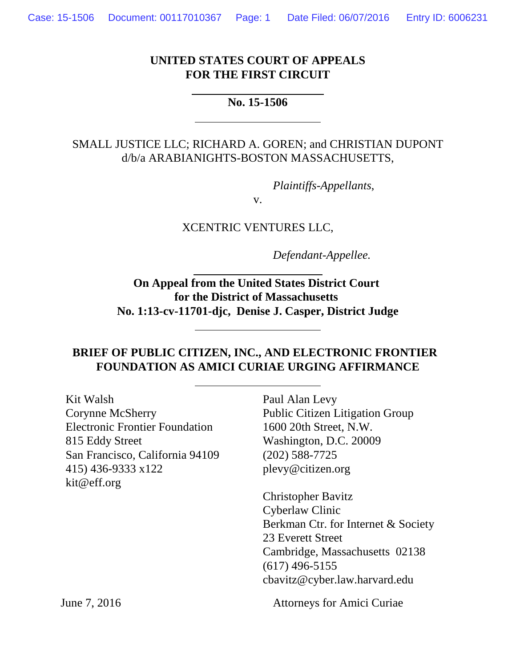#### **UNITED STATES COURT OF APPEALS FOR THE FIRST CIRCUIT**

#### **No. 15-1506**

 $\overline{a}$ 

 $\overline{a}$ 

#### SMALL JUSTICE LLC; RICHARD A. GOREN; and CHRISTIAN DUPONT d/b/a ARABIANIGHTS-BOSTON MASSACHUSETTS,

*Plaintiffs-Appellants*,

v.

XCENTRIC VENTURES LLC,

*Defendant-Appellee.*

**On Appeal from the United States District Court for the District of Massachusetts No. 1:13-cv-11701-djc, Denise J. Casper, District Judge**

#### **BRIEF OF PUBLIC CITIZEN, INC., AND ELECTRONIC FRONTIER FOUNDATION AS AMICI CURIAE URGING AFFIRMANCE**

| Kit Walsh<br><b>Corynne McSherry</b><br><b>Electronic Frontier Foundation</b><br>815 Eddy Street<br>San Francisco, California 94109<br>415) 436-9333 x122<br>kit@eff.org | Paul Alan Levy<br><b>Public Citizen Litigation Group</b><br>1600 20th Street, N.W.<br>Washington, D.C. 20009<br>$(202)$ 588-7725<br>plevy@citizen.org                                           |
|--------------------------------------------------------------------------------------------------------------------------------------------------------------------------|-------------------------------------------------------------------------------------------------------------------------------------------------------------------------------------------------|
|                                                                                                                                                                          | <b>Christopher Bavitz</b><br>Cyberlaw Clinic<br>Berkman Ctr. for Internet & Society<br>23 Everett Street<br>Cambridge, Massachusetts 02138<br>$(617)$ 496-5155<br>cbavitz@cyber.law.harvard.edu |
| June 7, 2016                                                                                                                                                             | <b>Attorneys for Amici Curiae</b>                                                                                                                                                               |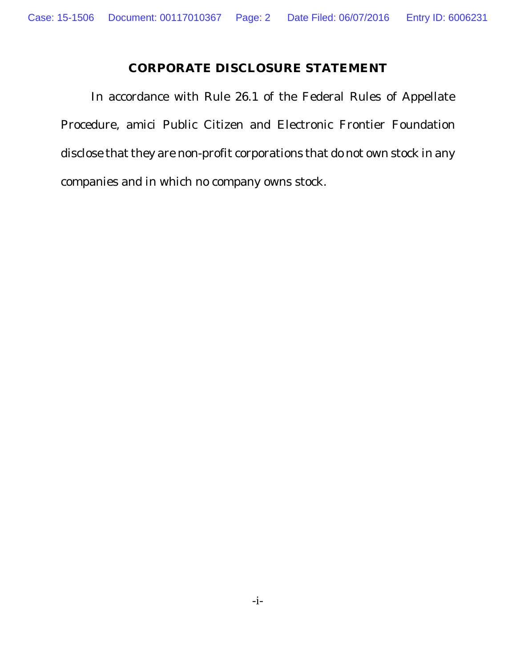# **CORPORATE DISCLOSURE STATEMENT**

In accordance with Rule 26.1 of the Federal Rules of Appellate Procedure, amici Public Citizen and Electronic Frontier Foundation disclose that they are non-profit corporations that do not own stock in any companies and in which no company owns stock.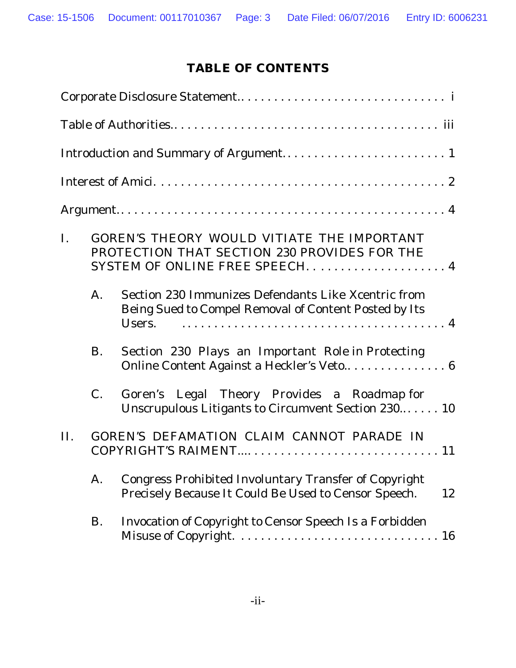# **TABLE OF CONTENTS**

| $\mathbf{I}$ . |             | GOREN'S THEORY WOULD VITIATE THE IMPORTANT<br>PROTECTION THAT SECTION 230 PROVIDES FOR THE                                 |
|----------------|-------------|----------------------------------------------------------------------------------------------------------------------------|
|                | A.          | Section 230 Immunizes Defendants Like Xcentric from<br>Being Sued to Compel Removal of Content Posted by Its<br>Users.     |
|                | <b>B.</b>   | Section 230 Plays an Important Role in Protecting                                                                          |
|                | $C_{\cdot}$ | Goren's Legal Theory Provides a Roadmap for<br>Unscrupulous Litigants to Circumvent Section 230 10                         |
| II.            |             | GOREN'S DEFAMATION CLAIM CANNOT PARADE IN                                                                                  |
|                | A.          | <b>Congress Prohibited Involuntary Transfer of Copyright</b><br>Precisely Because It Could Be Used to Censor Speech.<br>12 |
|                | B.          | Invocation of Copyright to Censor Speech Is a Forbidden                                                                    |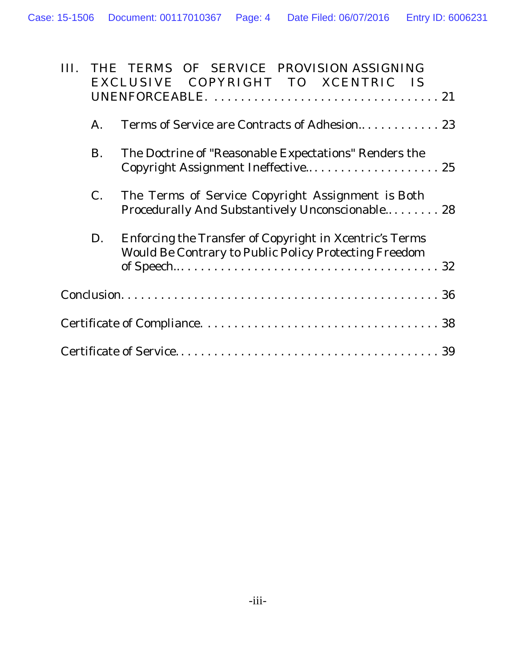| Ш |             | THE TERMS OF SERVICE PROVISION ASSIGNING                |
|---|-------------|---------------------------------------------------------|
|   |             | EXCLUSIVE COPYRIGHT TO XCENTRIC IS                      |
|   |             |                                                         |
|   | A.          |                                                         |
|   | <b>B.</b>   | The Doctrine of "Reasonable Expectations" Renders the   |
|   |             | Copyright Assignment Ineffective 25                     |
|   | $C_{\cdot}$ | The Terms of Service Copyright Assignment is Both       |
|   |             | Procedurally And Substantively Unconscionable 28        |
|   | D.          | Enforcing the Transfer of Copyright in Xcentric's Terms |
|   |             | Would Be Contrary to Public Policy Protecting Freedom   |
|   |             |                                                         |
|   |             |                                                         |
|   |             |                                                         |
|   |             | 39                                                      |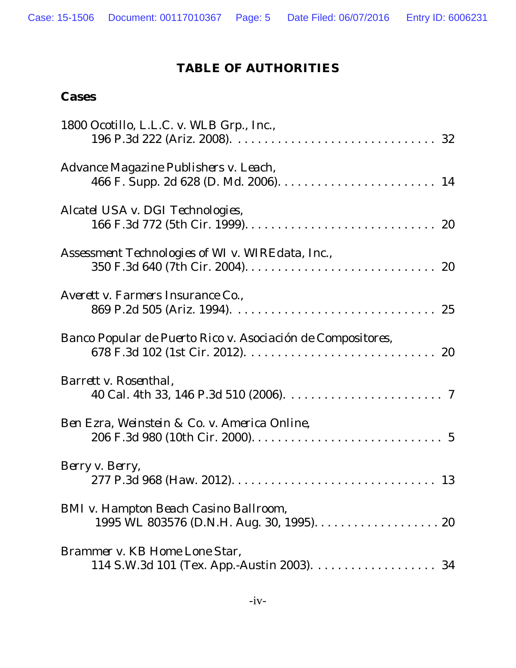### **TABLE OF AUTHORITIES**

#### **Cases**

| 1800 Ocotillo, L.L.C. v. WLB Grp., Inc.,                    |
|-------------------------------------------------------------|
| Advance Magazine Publishers v. Leach,                       |
| Alcatel USA v. DGI Technologies,                            |
| Assessment Technologies of WI v. WIREdata, Inc.,            |
| Averett v. Farmers Insurance Co.,                           |
| Banco Popular de Puerto Rico v. Asociación de Compositores, |
| Barrett v. Rosenthal,                                       |
| Ben Ezra, Weinstein & Co. v. America Online,                |
| Berry v. Berry,                                             |
| BMI v. Hampton Beach Casino Ballroom,                       |
| Brammer v. KB Home Lone Star,                               |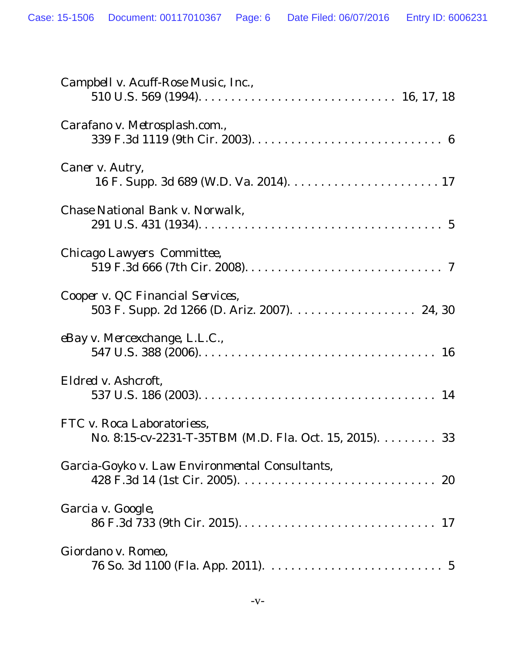| Campbell v. Acuff-Rose Music, Inc.,                                                                |
|----------------------------------------------------------------------------------------------------|
| Carafano v. Metrosplash.com.,                                                                      |
| Caner v. Autry,                                                                                    |
| Chase National Bank v. Norwalk,                                                                    |
| Chicago Lawyers Committee,                                                                         |
| Cooper v. QC Financial Services,<br>503 F. Supp. 2d 1266 (D. Ariz. 2007). 24, 30                   |
| eBay v. Mercexchange, L.L.C.,                                                                      |
| Eldred v. Ashcroft,                                                                                |
| FTC v. Roca Laboratoriess,<br>No. 8:15-cv-2231-T-35TBM (M.D. Fla. Oct. 15, 2015). $\dots \dots$ 33 |
| Garcia-Goyko v. Law Environmental Consultants,                                                     |
| Garcia v. Google,                                                                                  |
| Giordano v. Romeo,                                                                                 |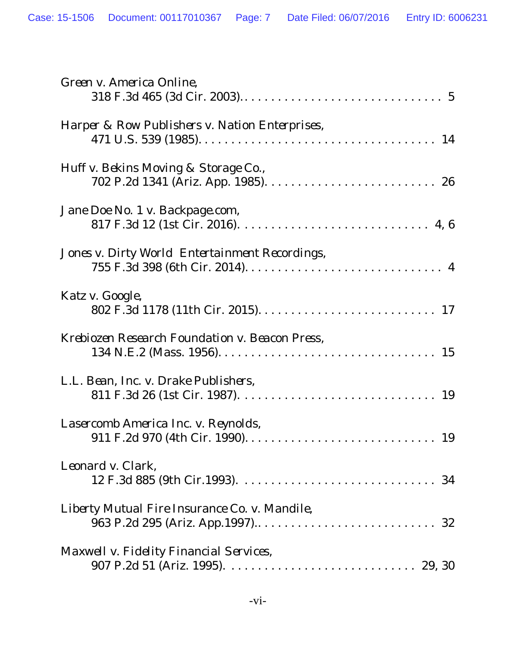| Green v. America Online,                       |
|------------------------------------------------|
| Harper & Row Publishers v. Nation Enterprises, |
| Huff v. Bekins Moving & Storage Co.,           |
| Jane Doe No. 1 v. Backpage.com,                |
| Jones v. Dirty World Entertainment Recordings, |
| Katz v. Google,                                |
| Krebiozen Research Foundation v. Beacon Press, |
| L.L. Bean, Inc. v. Drake Publishers,           |
| Lasercomb America Inc. v. Reynolds,            |
| Leonard v. Clark,                              |
| Liberty Mutual Fire Insurance Co. v. Mandile,  |
| Maxwell v. Fidelity Financial Services,        |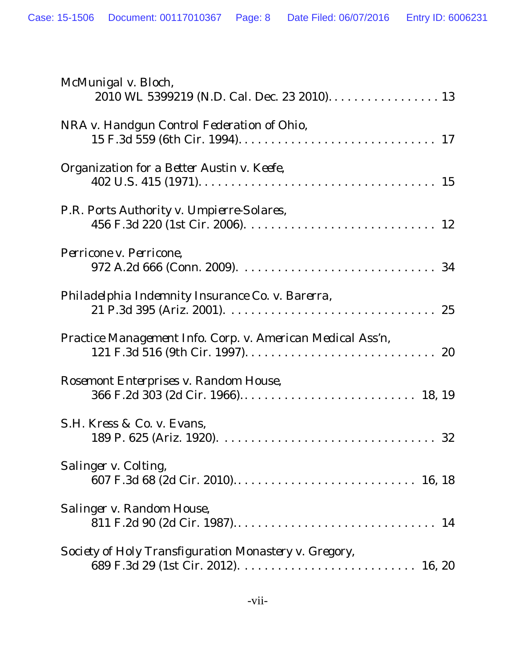| McMunigal v. Bloch,<br>2010 WL 5399219 (N.D. Cal. Dec. 23 2010) 13 |
|--------------------------------------------------------------------|
| NRA v. Handgun Control Federation of Ohio,                         |
| Organization for a Better Austin v. Keefe,                         |
| P.R. Ports Authority v. Umpierre-Solares,                          |
| Perricone v. Perricone,                                            |
| Philadelphia Indemnity Insurance Co. v. Barerra,                   |
| Practice Management Info. Corp. v. American Medical Ass'n,         |
| Rosemont Enterprises v. Random House,                              |
| S.H. Kress & Co. v. Evans,<br>32                                   |
| Salinger v. Colting,                                               |
| Salinger v. Random House,                                          |
| Society of Holy Transfiguration Monastery v. Gregory,              |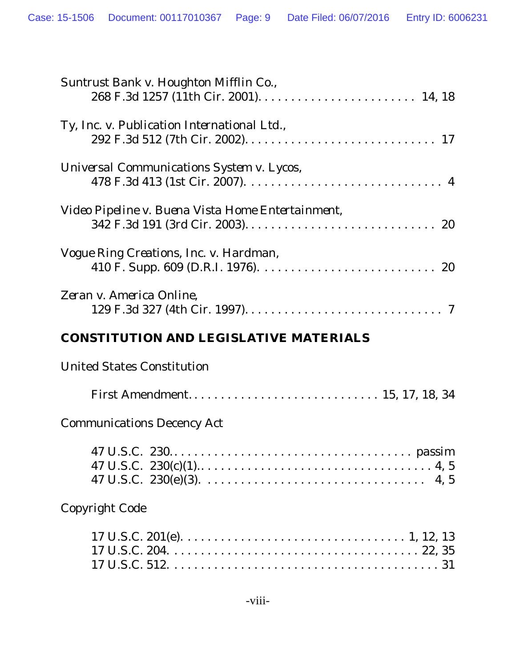| Suntrust Bank v. Houghton Mifflin Co.,            |
|---------------------------------------------------|
| Ty, Inc. v. Publication International Ltd.,       |
| Universal Communications System v. Lycos,         |
| Video Pipeline v. Buena Vista Home Entertainment, |
| Vogue Ring Creations, Inc. v. Hardman,            |
| Zeran v. America Online,                          |
| CONSTITUTION AND LEGISLATIVE MATERIALS            |
| <b>United States Constitution</b>                 |
|                                                   |
| <b>Communications Decency Act</b>                 |
|                                                   |
| <b>Copyright Code</b>                             |
|                                                   |
| $-viii$                                           |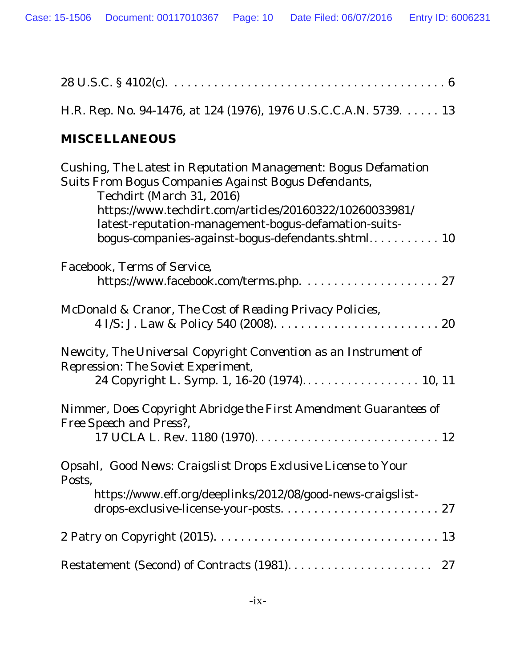| H.R. Rep. No. 94-1476, at 124 (1976), 1976 U.S.C.C.A.N. 5739. 13                                                                                                                                                                                                                                                            |
|-----------------------------------------------------------------------------------------------------------------------------------------------------------------------------------------------------------------------------------------------------------------------------------------------------------------------------|
| <b>MISCELLANEOUS</b>                                                                                                                                                                                                                                                                                                        |
| Cushing, The Latest in Reputation Management: Bogus Defamation<br>Suits From Bogus Companies Against Bogus Defendants,<br>Techdirt (March 31, 2016)<br>https://www.techdirt.com/articles/20160322/10260033981/<br>latest-reputation-management-bogus-defamation-suits-<br>bogus-companies-against-bogus-defendants.shtml 10 |
| Facebook, Terms of Service,                                                                                                                                                                                                                                                                                                 |
| McDonald & Cranor, The Cost of Reading Privacy Policies,                                                                                                                                                                                                                                                                    |
| Newcity, The Universal Copyright Convention as an Instrument of<br><b>Repression: The Soviet Experiment,</b><br>24 Copyright L. Symp. 1, 16-20 (1974) 10, 11                                                                                                                                                                |
| Nimmer, Does Copyright Abridge the First Amendment Guarantees of<br>Free Speech and Press?,                                                                                                                                                                                                                                 |
| Opsahl, Good News: Craigslist Drops Exclusive License to Your<br>Posts.<br>https://www.eff.org/deeplinks/2012/08/good-news-craigslist-<br>drops-exclusive-license-your-posts 27                                                                                                                                             |
|                                                                                                                                                                                                                                                                                                                             |
| 27                                                                                                                                                                                                                                                                                                                          |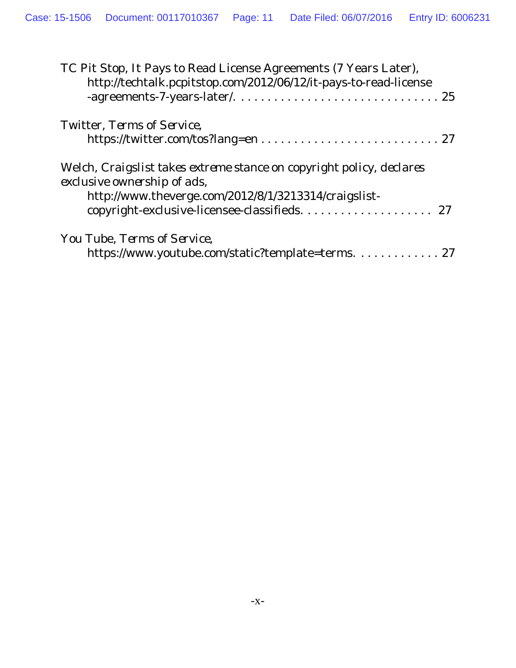| TC Pit Stop, It Pays to Read License Agreements (7 Years Later),<br>http://techtalk.pcpitstop.com/2012/06/12/it-pays-to-read-license                                                                       |
|------------------------------------------------------------------------------------------------------------------------------------------------------------------------------------------------------------|
| Twitter, Terms of Service,                                                                                                                                                                                 |
| Welch, Craigslist takes extreme stance on copyright policy, declares<br>exclusive ownership of ads,<br>http://www.theverge.com/2012/8/1/3213314/craigslist-<br>copyright-exclusive-licensee-classifieds 27 |
| You Tube, Terms of Service,<br>https://www.youtube.com/static?template=terms. 27                                                                                                                           |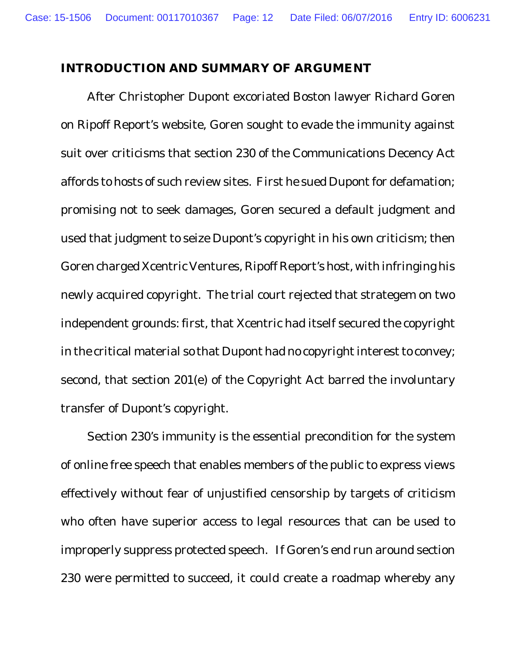#### **INTRODUCTION AND SUMMARY OF ARGUMENT**

After Christopher Dupont excoriated Boston lawyer Richard Goren on Ripoff Report's website, Goren sought to evade the immunity against suit over criticisms that section 230 of the Communications Decency Act affords to hosts of such review sites. First he sued Dupont for defamation; promising not to seek damages, Goren secured a default judgment and used that judgment to seize Dupont's copyright in his own criticism; then Goren charged Xcentric Ventures, Ripoff Report's host, with infringing his newly acquired copyright. The trial court rejected that strategem on two independent grounds: first, that Xcentric had itself secured the copyright in the critical material so that Dupont had no copyright interest to convey; second, that section 201(e) of the Copyright Act barred the involuntary transfer of Dupont's copyright.

Section 230's immunity is the essential precondition for the system of online free speech that enables members of the public to express views effectively without fear of unjustified censorship by targets of criticism who often have superior access to legal resources that can be used to improperly suppress protected speech. If Goren's end run around section 230 were permitted to succeed, it could create a roadmap whereby any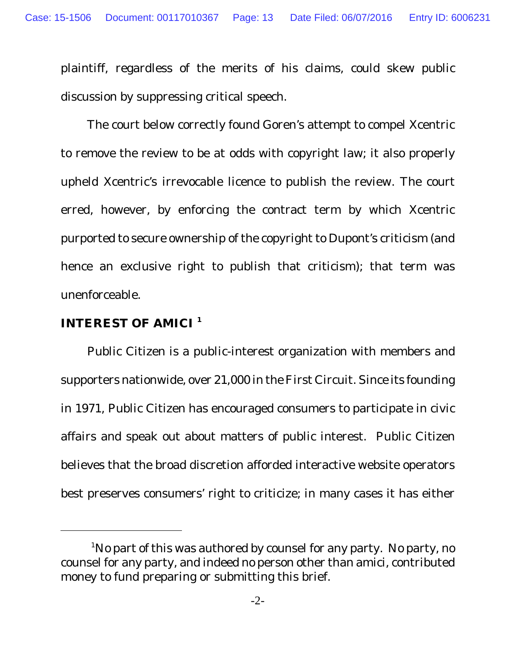plaintiff, regardless of the merits of his claims, could skew public discussion by suppressing critical speech.

The court below correctly found Goren's attempt to compel Xcentric to remove the review to be at odds with copyright law; it also properly upheld Xcentric's irrevocable licence to publish the review. The court erred, however, by enforcing the contract term by which Xcentric purported to secure ownership of the copyright to Dupont's criticism (and hence an exclusive right to publish that criticism); that term was unenforceable.

#### **INTEREST OF AMICI <sup>1</sup>**

Public Citizen is a public-interest organization with members and supporters nationwide, over 21,000 in the First Circuit. Since its founding in 1971, Public Citizen has encouraged consumers to participate in civic affairs and speak out about matters of public interest. Public Citizen believes that the broad discretion afforded interactive website operators best preserves consumers' right to criticize; in many cases it has either

<sup>&</sup>lt;sup>1</sup>No part of this was authored by counsel for any party. No party, no counsel for any party, and indeed no person other than amici, contributed money to fund preparing or submitting this brief.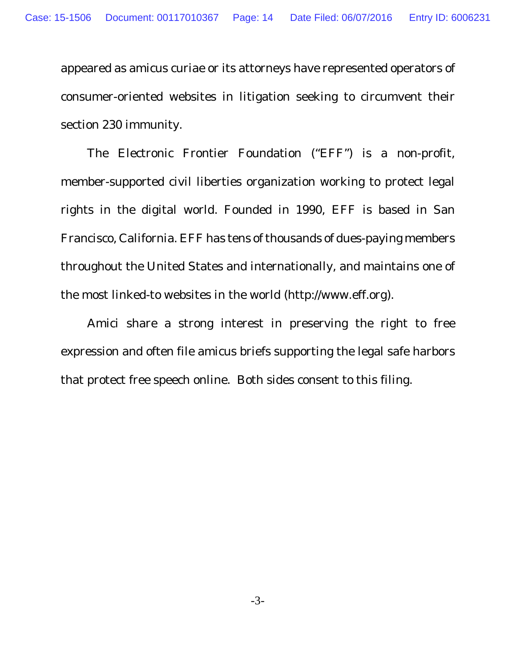appeared as amicus curiae or its attorneys have represented operators of consumer-oriented websites in litigation seeking to circumvent their section 230 immunity.

The Electronic Frontier Foundation ("EFF") is a non-profit, member-supported civil liberties organization working to protect legal rights in the digital world. Founded in 1990, EFF is based in San Francisco, California. EFF has tens of thousands of dues-paying members throughout the United States and internationally, and maintains one of the most linked-to websites in the world (http://www.eff.org).

Amici share a strong interest in preserving the right to free expression and often file amicus briefs supporting the legal safe harbors that protect free speech online. Both sides consent to this filing.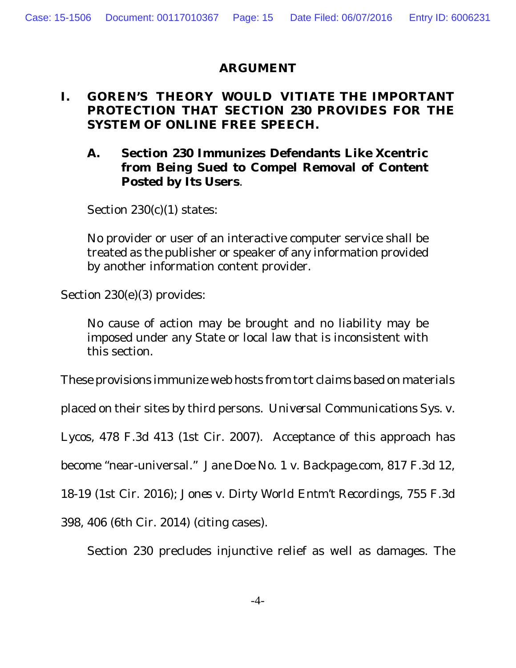#### **ARGUMENT**

### **I. GOREN'S THEORY WOULD VITIATE THE IMPORTANT PROTECTION THAT SECTION 230 PROVIDES FOR THE SYSTEM OF ONLINE FREE SPEECH.**

**A. Section 230 Immunizes Defendants Like Xcentric from Being Sued to Compel Removal of Content Posted by Its Users**.

Section 230(c)(1) states:

No provider or user of an interactive computer service shall be treated as the publisher or speaker of any information provided by another information content provider.

Section 230(e)(3) provides:

No cause of action may be brought and no liability may be imposed under any State or local law that is inconsistent with this section.

These provisions immunize web hosts from tort claims based on materials

placed on their sites by third persons. *Universal Communications Sys. v.*

*Lycos*, 478 F.3d 413 (1st Cir. 2007). Acceptance of this approach has

become "near-universal." *Jane Doe No. 1 v. Backpage.com,* 817 F.3d 12,

18-19 (1st Cir. 2016); *Jones v. Dirty World Entm*'*t Recordings*, 755 F.3d

398, 406 (6th Cir. 2014) (citing cases).

Section 230 precludes injunctive relief as well as damages. The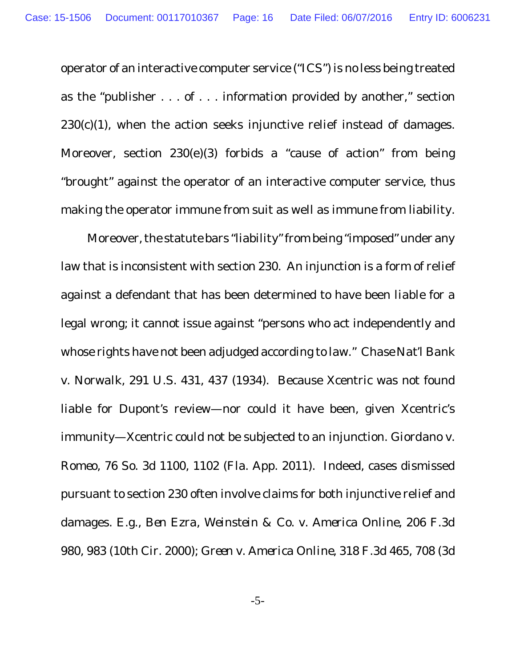operator of an interactive computer service ("ICS") is no less being treated as the "publisher  $\dots$  of  $\dots$  information provided by another," section  $230(c)(1)$ , when the action seeks injunctive relief instead of damages. Moreover, section 230(e)(3) forbids a "cause of action" from being "brought" against the operator of an interactive computer service, thus making the operator immune from suit as well as immune from liability.

Moreover, the statute bars "liability" from being "imposed" under any law that is inconsistent with section 230. An injunction is a form of relief against a defendant that has been determined to have been liable for a legal wrong; it cannot issue against "persons who act independently and whose rights have not been adjudged according to law." *Chase Nat'l Bank v. Norwalk*, 291 U.S. 431, 437 (1934). Because Xcentric was not found liable for Dupont's review—nor could it have been, given Xcentric's immunity—Xcentric could not be subjected to an injunction. *Giordano v. Romeo*, 76 So. 3d 1100, 1102 (Fla. App. 2011). Indeed, cases dismissed pursuant to section 230 often involve claims for both injunctive relief and damages. *E.g.*, *Ben Ezra, Weinstein & Co. v. America Online*, 206 F.3d 980, 983 (10th Cir. 2000); *Green v. America Online*, 318 F.3d 465, 708 (3d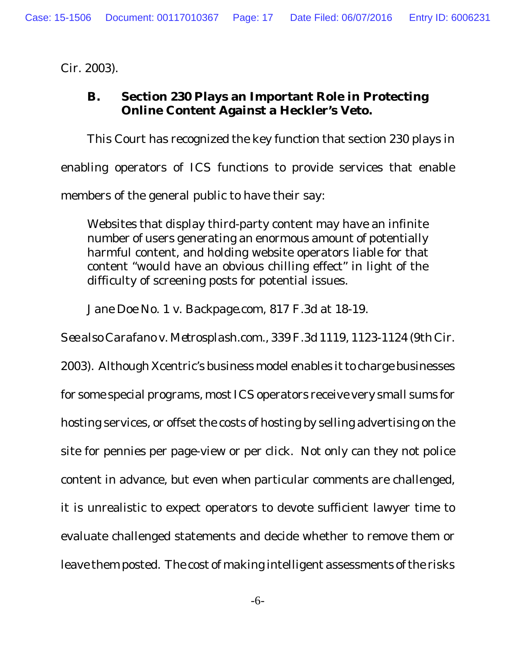Cir. 2003).

**B. Section 230 Plays an Important Role in Protecting Online Content Against a Heckler's Veto.**

This Court has recognized the key function that section 230 plays in enabling operators of ICS functions to provide services that enable members of the general public to have their say:

Websites that display third-party content may have an infinite number of users generating an enormous amount of potentially harmful content, and holding website operators liable for that content "would have an obvious chilling effect" in light of the difficulty of screening posts for potential issues.

*Jane Doe No. 1 v. Backpage.com*, 817 F.3d at 18-19.

*See also Carafano v. Metrosplash.com.,* 339 F.3d 1119, 1123-1124 (9th Cir.

2003). Although Xcentric's business model enables it to charge businesses for some special programs, most ICS operators receive very small sums for hosting services, or offset the costs of hosting by selling advertising on the site for pennies per page-view or per click. Not only can they not police content in advance, but even when particular comments are challenged, it is unrealistic to expect operators to devote sufficient lawyer time to evaluate challenged statements and decide whether to remove them or leave them posted. The cost of making intelligent assessments of the risks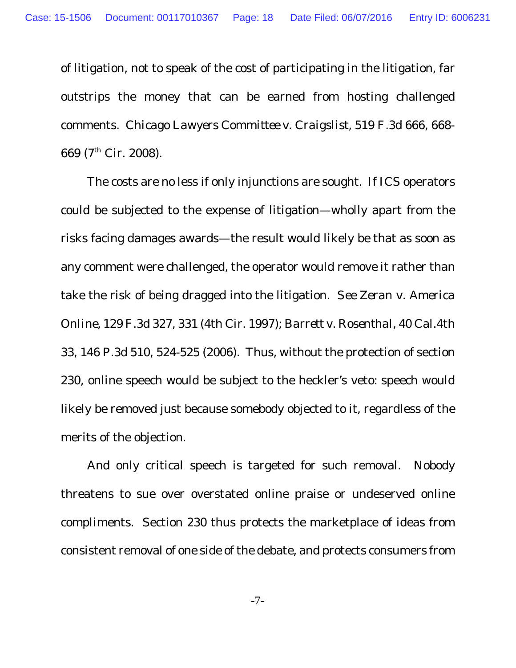of litigation, not to speak of the cost of participating in the litigation, far outstrips the money that can be earned from hosting challenged comments. *Chicago Lawyers Committee v. Craigslist*, 519 F.3d 666, 668- 669 (7th Cir. 2008).

The costs are no less if only injunctions are sought. If ICS operators could be subjected to the expense of litigation—wholly apart from the risks facing damages awards—the result would likely be that as soon as any comment were challenged, the operator would remove it rather than take the risk of being dragged into the litigation. *See Zeran v. America Online*, 129 F.3d 327, 331 (4th Cir. 1997); *Barrett v. Rosenthal*, 40 Cal.4th 33, 146 P.3d 510, 524-525 (2006). Thus, without the protection of section 230, online speech would be subject to the heckler's veto: speech would likely be removed just because somebody objected to it, regardless of the merits of the objection.

And only critical speech is targeted for such removal. Nobody threatens to sue over overstated online praise or undeserved online compliments. Section 230 thus protects the marketplace of ideas from consistent removal of one side of the debate, and protects consumers from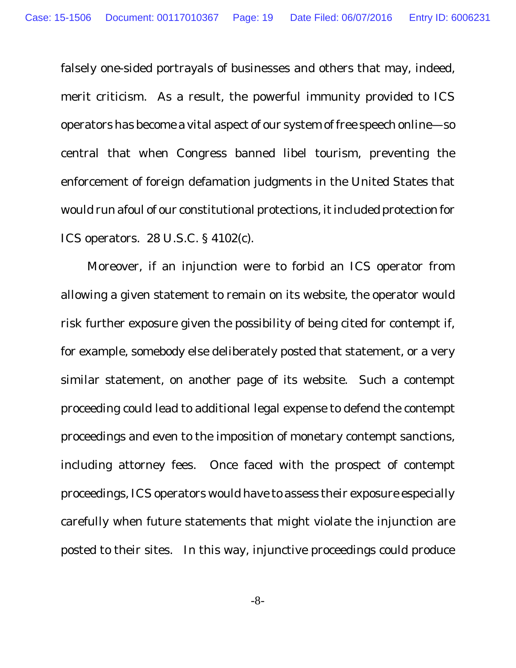falsely one-sided portrayals of businesses and others that may, indeed, merit criticism. As a result, the powerful immunity provided to ICS operators has become a vital aspect of our system of free speech online—so central that when Congress banned libel tourism, preventing the enforcement of foreign defamation judgments in the United States that would run afoul of our constitutional protections, it included protection for ICS operators. 28 U.S.C. § 4102(c).

Moreover, if an injunction were to forbid an ICS operator from allowing a given statement to remain on its website, the operator would risk further exposure given the possibility of being cited for contempt if, for example, somebody else deliberately posted that statement, or a very similar statement, on another page of its website. Such a contempt proceeding could lead to additional legal expense to defend the contempt proceedings and even to the imposition of monetary contempt sanctions, including attorney fees. Once faced with the prospect of contempt proceedings, ICS operators would have to assess their exposure especially carefully when future statements that might violate the injunction are posted to their sites. In this way, injunctive proceedings could produce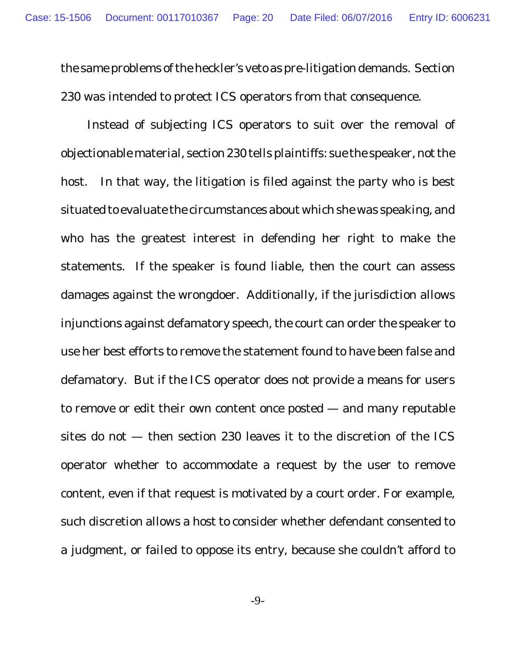the same problems of the heckler's veto as pre-litigation demands. Section 230 was intended to protect ICS operators from that consequence.

Instead of subjecting ICS operators to suit over the removal of objectionable material, section 230 tells plaintiffs: sue the speaker, not the host. In that way, the litigation is filed against the party who is best situated to evaluate the circumstances about which she was speaking, and who has the greatest interest in defending her right to make the statements. If the speaker is found liable, then the court can assess damages against the wrongdoer. Additionally, if the jurisdiction allows injunctions against defamatory speech, the court can order the speaker to use her best efforts to remove the statement found to have been false and defamatory. But if the ICS operator does not provide a means for users to remove or edit their own content once posted — and many reputable sites do not — then section 230 leaves it to the discretion of the ICS operator whether to accommodate a request by the user to remove content, even if that request is motivated by a court order. For example, such discretion allows a host to consider whether defendant consented to a judgment, or failed to oppose its entry, because she couldn't afford to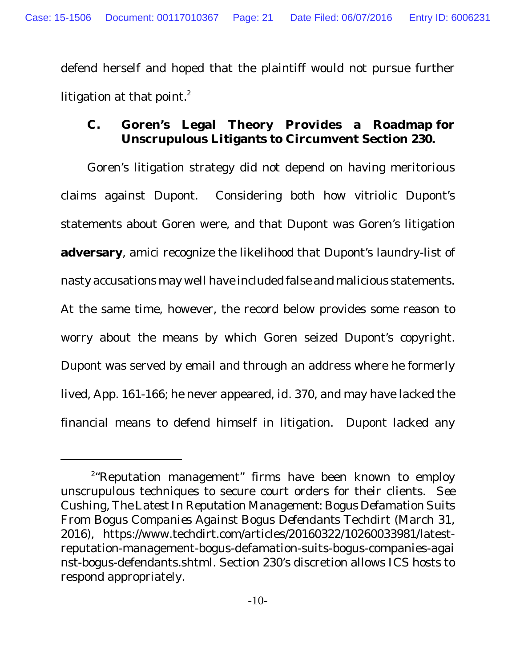defend herself and hoped that the plaintiff would not pursue further litigation at that point. $^{\text{2}}$ 

**C. Goren's Legal Theory Provides a Roadmap for Unscrupulous Litigants to Circumvent Section 230.**

Goren's litigation strategy did not depend on having meritorious claims against Dupont. Considering both how vitriolic Dupont's statements about Goren were, and that Dupont was Goren's litigation **adversary**, amici recognize the likelihood that Dupont's laundry-list of nasty accusations may well have included false and malicious statements. At the same time, however, the record below provides some reason to worry about the means by which Goren seized Dupont's copyright. Dupont was served by email and through an address where he formerly lived, App. 161-166; he never appeared, *id.* 370, and may have lacked the financial means to defend himself in litigation. Dupont lacked any

<sup>2</sup> "Reputation management" firms have been known to employ unscrupulous techniques to secure court orders for their clients. *See* Cushing, *The Latest In Reputation Management: Bogus Defamation Suits From Bogus Companies Against Bogus Defendants* Techdirt (March 31, 2016), https://www.techdirt.com/articles/20160322/10260033981/latestreputation-management-bogus-defamation-suits-bogus-companies-agai nst-bogus-defendants.shtml. Section 230's discretion allows ICS hosts to respond appropriately.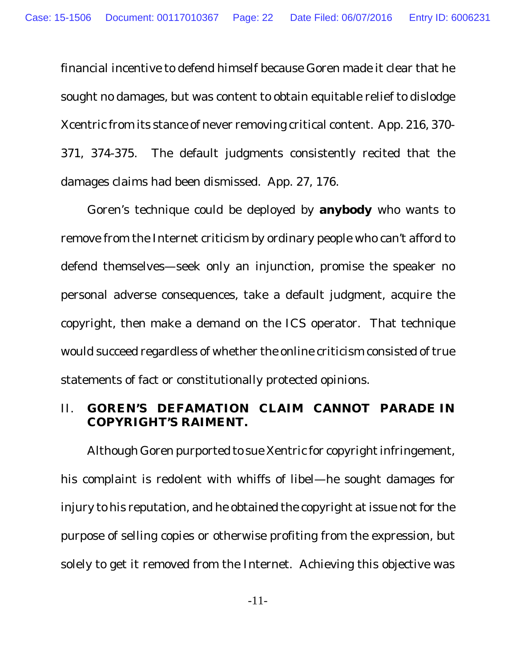financial incentive to defend himself because Goren made it clear that he sought no damages, but was content to obtain equitable relief to dislodge Xcentric from its stance of never removing critical content. App. 216, 370- 371, 374-375. The default judgments consistently recited that the damages claims had been dismissed. App. 27, 176.

Goren's technique could be deployed by **anybody** who wants to remove from the Internet criticism by ordinary people who can't afford to defend themselves—seek only an injunction, promise the speaker no personal adverse consequences, take a default judgment, acquire the copyright, then make a demand on the ICS operator. That technique would succeed regardless of whether the online criticism consisted of true statements of fact or constitutionally protected opinions.

#### II. **GOREN'S DEFAMATION CLAIM CANNOT PARADE IN COPYRIGHT'S RAIMENT.**

Although Goren purported to sue Xentric for copyright infringement, his complaint is redolent with whiffs of libel—he sought damages for injury to his reputation, and he obtained the copyright at issue not for the purpose of selling copies or otherwise profiting from the expression, but solely to get it removed from the Internet. Achieving this objective was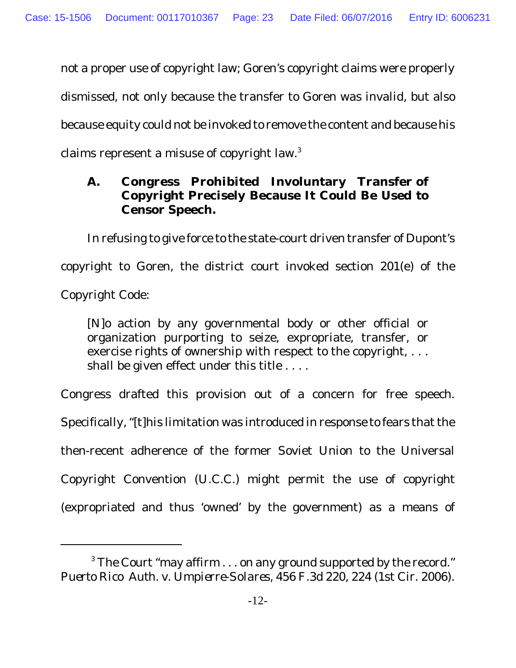not a proper use of copyright law; Goren's copyright claims were properly dismissed, not only because the transfer to Goren was invalid, but also because equity could not be invoked to remove the content and because his claims represent a misuse of copyright law.<sup>3</sup>

**A. Congress Prohibited Involuntary Transfer of Copyright Precisely Because It Could Be Used to Censor Speech.**

In refusing to give force to the state-court driven transfer of Dupont's copyright to Goren, the district court invoked section 201(e) of the Copyright Code:

[N]o action by any governmental body or other official or organization purporting to seize, expropriate, transfer, or exercise rights of ownership with respect to the copyright, . . . shall be given effect under this title . . . .

Congress drafted this provision out of a concern for free speech. Specifically, "[t]his limitation was introduced in response to fears that the then-recent adherence of the former Soviet Union to the Universal Copyright Convention (U.C.C.) might permit the use of copyright (expropriated and thus 'owned' by the government) as a means of

 $3$  The Court "may affirm  $\dots$  on any ground supported by the record." *Puerto Rico Auth. v. Umpierre-Solares*, 456 F.3d 220, 224 (1st Cir. 2006).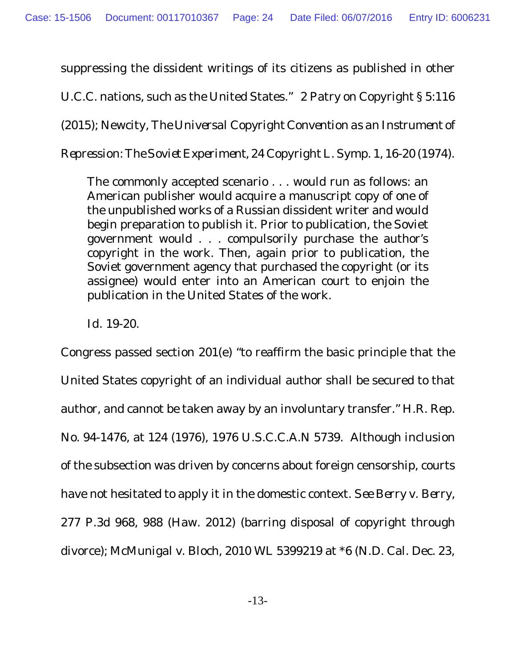suppressing the dissident writings of its citizens as published in other

U.C.C. nations, such as the United States." 2 Patry on Copyright § 5:116

(2015); Newcity, *The Universal Copyright Convention as an Instrument of*

*Repression: The Soviet Experiment*, 24 Copyright L. Symp. 1, 16-20 (1974).

The commonly accepted scenario . . . would run as follows: an American publisher would acquire a manuscript copy of one of the unpublished works of a Russian dissident writer and would begin preparation to publish it. Prior to publication, the Soviet government would . . . compulsorily purchase the author's copyright in the work. Then, again prior to publication, the Soviet government agency that purchased the copyright (or its assignee) would enter into an American court to enjoin the publication in the United States of the work.

*Id.* 19-20.

Congress passed section 201(e) "to reaffirm the basic principle that the United States copyright of an individual author shall be secured to that author, and cannot be taken away by an involuntary transfer." H.R. Rep. No. 94-1476, at 124 (1976), 1976 U.S.C.C.A.N 5739. Although inclusion of the subsection was driven by concerns about foreign censorship, courts have not hesitated to apply it in the domestic context. *See Berry v. Berry*, 277 P.3d 968, 988 (Haw. 2012) (barring disposal of copyright through divorce); *McMunigal v. Bloch*, 2010 WL 5399219 at \*6 (N.D. Cal. Dec. 23,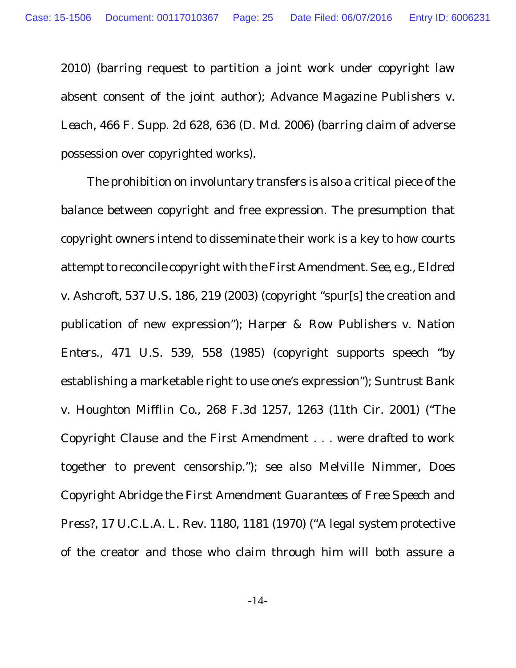2010) (barring request to partition a joint work under copyright law absent consent of the joint author); *Advance Magazine Publishers v. Leach*, 466 F. Supp. 2d 628, 636 (D. Md. 2006) (barring claim of adverse possession over copyrighted works).

The prohibition on involuntary transfers is also a critical piece of the balance between copyright and free expression. The presumption that copyright owners intend to disseminate their work is a key to how courts attempt to reconcile copyright with the First Amendment. *See, e.g., Eldred v. Ashcroft*, 537 U.S. 186, 219 (2003) (copyright "spur[s] the creation and publication of new expression"); *Harper & Row Publishers v. Nation Enters.*, 471 U.S. 539, 558 (1985) (copyright supports speech "by establishing a marketable right to use one's expression"); *Suntrust Bank v. Houghton Mifflin Co.*, 268 F.3d 1257, 1263 (11th Cir. 2001) ("The Copyright Clause and the First Amendment . . . were drafted to work together to prevent censorship."); *see also* Melville Nimmer, *Does Copyright Abridge the First Amendment Guarantees of Free Speech and Press?*, 17 U.C.L.A. L. Rev. 1180, 1181 (1970) ("A legal system protective of the creator and those who claim through him will both assure a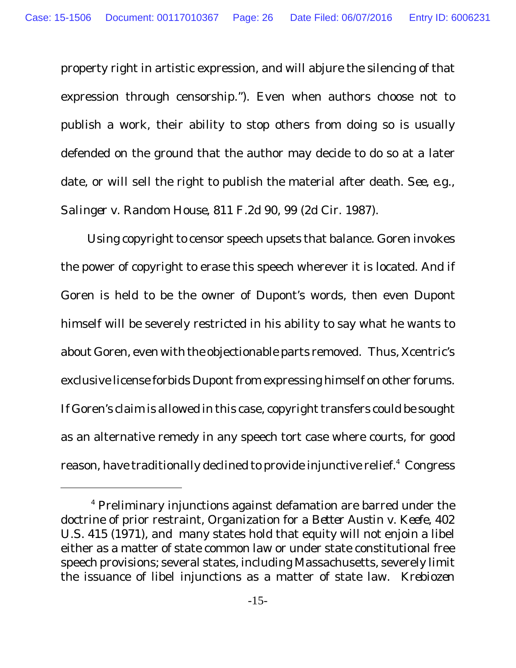property right in artistic expression, and will abjure the silencing of that expression through censorship."). Even when authors choose not to publish a work, their ability to stop others from doing so is usually defended on the ground that the author may decide to do so at a later date, or will sell the right to publish the material after death. *See*, *e.g.*, *Salinger v. Random House*, 811 F.2d 90, 99 (2d Cir. 1987).

Using copyright to censor speech upsets that balance. Goren invokes the power of copyright to erase this speech wherever it is located. And if Goren is held to be the owner of Dupont's words, then even Dupont himself will be severely restricted in his ability to say what he wants to about Goren, even with the objectionable parts removed. Thus, Xcentric's exclusive license forbids Dupont from expressing himself on other forums. If Goren's claim is allowed in this case, copyright transfers could be sought as an alternative remedy in any speech tort case where courts, for good reason, have traditionally declined to provide injunctive relief.<sup>4</sup> Congress

<sup>4</sup> Preliminary injunctions against defamation are barred under the doctrine of prior restraint, *Organization for a Better Austin v. Keefe*, 402 U.S. 415 (1971), and many states hold that equity will not enjoin a libel either as a matter of state common law or under state constitutional free speech provisions; several states, including Massachusetts, severely limit the issuance of libel injunctions as a matter of state law. *Krebiozen*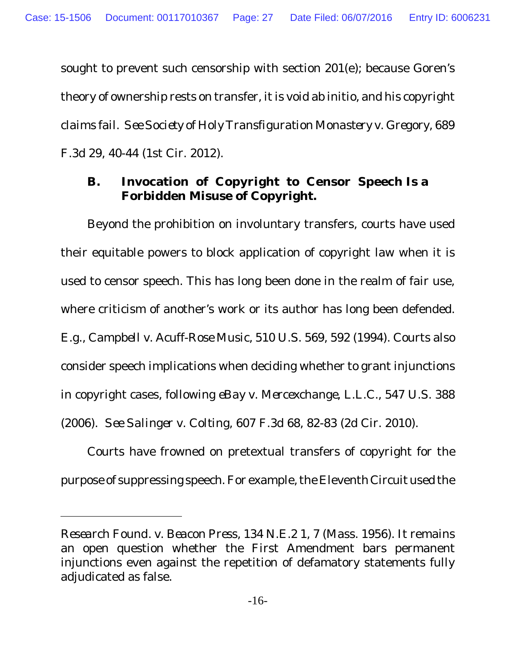sought to prevent such censorship with section 201(e); because Goren's theory of ownership rests on transfer, it is void ab initio, and his copyright claims fail. *See Society of Holy Transfiguration Monastery v. Gregory*, 689 F.3d 29, 40-44 (1st Cir. 2012).

**B. Invocation of Copyright to Censor Speech Is a Forbidden Misuse of Copyright.**

Beyond the prohibition on involuntary transfers, courts have used their equitable powers to block application of copyright law when it is used to censor speech. This has long been done in the realm of fair use, where criticism of another's work or its author has long been defended. *E.g.*, *Campbell v. Acuff-Rose Music*, 510 U.S. 569, 592 (1994). Courts also consider speech implications when deciding whether to grant injunctions in copyright cases, following *eBay v. Mercexchange, L.L.C.*, 547 U.S. 388 (2006). *See Salinger v. Colting*, 607 F.3d 68, 82-83 (2d Cir. 2010).

Courts have frowned on pretextual transfers of copyright for the purpose of suppressing speech. For example, the Eleventh Circuit used the

*Research Found. v. Beacon Press*, 134 N.E.2 1, 7 (Mass. 1956). It remains an open question whether the First Amendment bars permanent injunctions even against the repetition of defamatory statements fully adjudicated as false.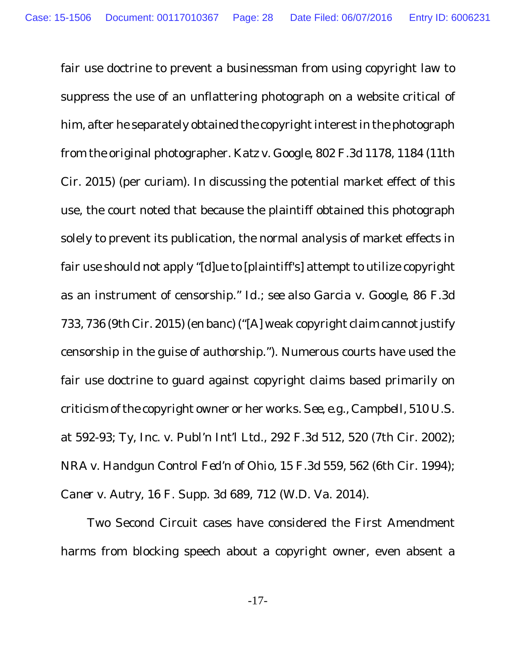fair use doctrine to prevent a businessman from using copyright law to suppress the use of an unflattering photograph on a website critical of him, after he separately obtained the copyright interest in the photograph from the original photographer. *Katz v. Google*, 802 F.3d 1178, 1184 (11th Cir. 2015) (per curiam). In discussing the potential market effect of this use, the court noted that because the plaintiff obtained this photograph solely to prevent its publication, the normal analysis of market effects in fair use should not apply "[d]ue to [plaintiff's] attempt to utilize copyright as an instrument of censorship." *Id.*; *see also Garcia v. Google*, 86 F.3d 733, 736 (9th Cir. 2015) (en banc) ("[A] weak copyright claim cannot justify censorship in the guise of authorship."). Numerous courts have used the fair use doctrine to guard against copyright claims based primarily on criticism of the copyright owner or her works. *See, e.g.*, *Campbell*, 510 U.S. at 592-93; *Ty, Inc. v. Publ'n Int'l Ltd.*, 292 F.3d 512, 520 (7th Cir. 2002); *NRA v. Handgun Control Fed'n of Ohio*, 15 F.3d 559, 562 (6th Cir. 1994); *Caner v. Autry*, 16 F. Supp. 3d 689, 712 (W.D. Va. 2014).

Two Second Circuit cases have considered the First Amendment harms from blocking speech about a copyright owner, even absent a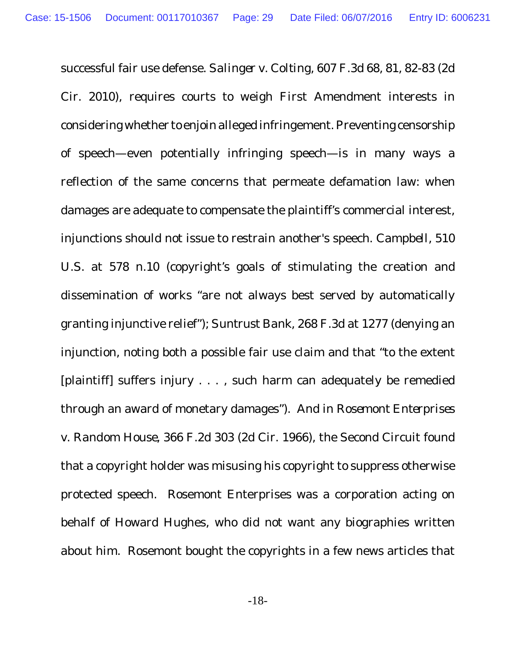successful fair use defense. *Salinger v. Colting*, 607 F.3d 68, 81, 82-83 (2d Cir. 2010), requires courts to weigh First Amendment interests in considering whether to enjoin alleged infringement.Preventing censorship of speech—even potentially infringing speech—is in many ways a reflection of the same concerns that permeate defamation law: when damages are adequate to compensate the plaintiff's commercial interest, injunctions should not issue to restrain another's speech. *Campbell*, 510 U.S. at 578 n.10 (copyright's goals of stimulating the creation and dissemination of works "are not always best served by automatically granting injunctive relief"); *Suntrust Bank*, 268 F.3d at 1277 (denying an injunction, noting both a possible fair use claim and that "to the extent [plaintiff] suffers injury . . . , such harm can adequately be remedied through an award of monetary damages"). And in *Rosemont Enterprises v. Random House,* 366 F.2d 303 (2d Cir. 1966), the Second Circuit found that a copyright holder was misusing his copyright to suppress otherwise protected speech. Rosemont Enterprises was a corporation acting on behalf of Howard Hughes, who did not want any biographies written about him. Rosemont bought the copyrights in a few news articles that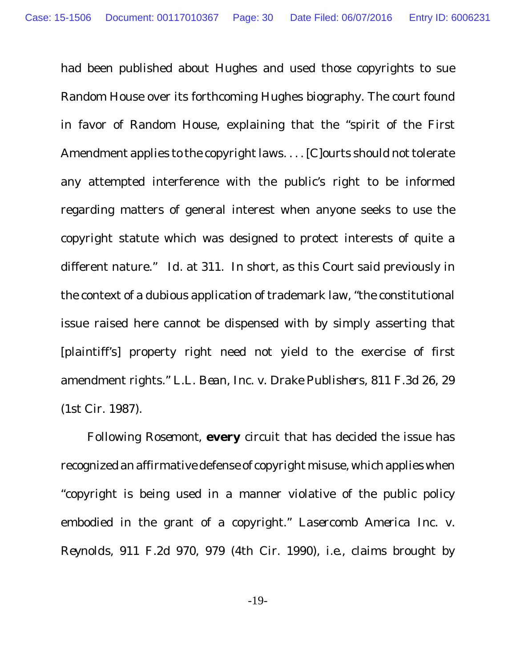had been published about Hughes and used those copyrights to sue Random House over its forthcoming Hughes biography. The court found in favor of Random House, explaining that the "spirit of the First Amendment applies to the copyright laws. . . . [C]ourts should not tolerate any attempted interference with the public's right to be informed regarding matters of general interest when anyone seeks to use the copyright statute which was designed to protect interests of quite a different nature." *Id.* at 311. In short, as this Court said previously in the context of a dubious application of trademark law, "the constitutional issue raised here cannot be dispensed with by simply asserting that [plaintiff's] property right need not yield to the exercise of first amendment rights." *L.L. Bean, Inc. v. Drake Publishers*, 811 F.3d 26, 29 (1st Cir. 1987).

Following *Rosemont*, **every** circuit that has decided the issue has recognized an affirmative defense of copyright misuse, which applieswhen "copyright is being used in a manner violative of the public policy embodied in the grant of a copyright." *Lasercomb America Inc. v. Reynolds*, 911 F.2d 970, 979 (4th Cir. 1990), *i.e.,* claims brought by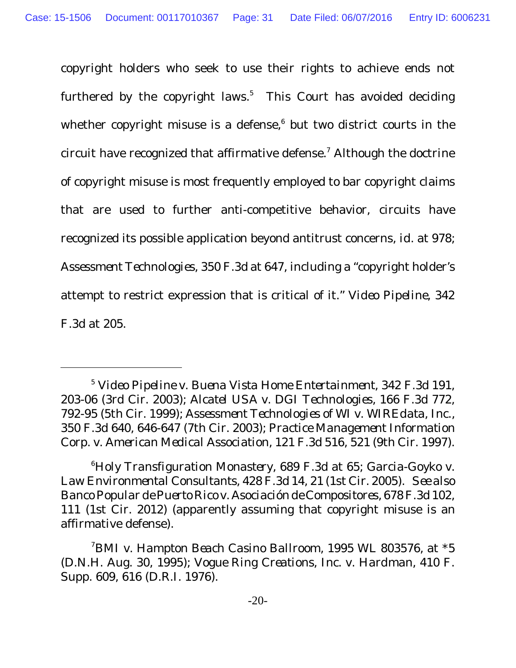copyright holders who seek to use their rights to achieve ends not furthered by the copyright laws.<sup>5</sup> This Court has avoided deciding whether copyright misuse is a defense, 6 but two district courts in the circuit have recognized that affirmative defense. <sup>7</sup> Although the doctrine of copyright misuse is most frequently employed to bar copyright claims that are used to further anti-competitive behavior, circuits have recognized its possible application beyond antitrust concerns, *id.* at 978; *Assessment Technologies,* 350 F.3d at 647, including a "copyright holder's attempt to restrict expression that is critical of it." *Video Pipeline*, 342 F.3d at 205.

<sup>5</sup> *Video Pipeline v. Buena Vista Home Entertainment*, 342 F.3d 191, 203-06 (3rd Cir. 2003); *Alcatel USA v. DGI Technologies*, 166 F.3d 772, 792-95 (5th Cir. 1999); *Assessment Technologies of WI v. WIREdata, Inc.*, 350 F.3d 640, 646-647 (7th Cir. 2003); *Practice Management Information Corp. v. American Medical Association*, 121 F.3d 516, 521 (9th Cir. 1997).

<sup>6</sup>*Holy Transfiguration Monastery*, 689 F.3d at 65; *Garcia-Goyko v. Law Environmental Consultants,* 428 F.3d 14, 21 (1st Cir. 2005). *See also Banco Popular de Puerto Rico v. Asociación de Compositores*, 678 F.3d 102, 111 (1st Cir. 2012) (apparently assuming that copyright misuse is an affirmative defense).

<sup>7</sup>*BMI v. Hampton Beach Casino Ballroom,* 1995 WL 803576, at \*5 (D.N.H. Aug. 30, 1995); *Vogue Ring Creations, Inc. v. Hardman*, 410 F. Supp. 609, 616 (D.R.I. 1976).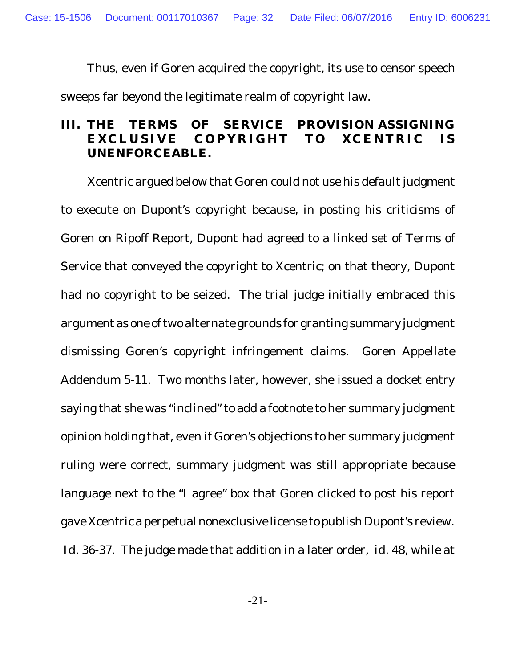Thus, even if Goren acquired the copyright, its use to censor speech sweeps far beyond the legitimate realm of copyright law.

#### **III. THE TERMS OF SERVICE PROVISION ASSIGNING EXCL U SIVE C O PY R I G H T T O XCE N T R IC IS UNENFORCEABLE.**

Xcentric argued below that Goren could not use his default judgment to execute on Dupont's copyright because, in posting his criticisms of Goren on Ripoff Report, Dupont had agreed to a linked set of Terms of Service that conveyed the copyright to Xcentric; on that theory, Dupont had no copyright to be seized. The trial judge initially embraced this argument as one of two alternate grounds for granting summary judgment dismissing Goren's copyright infringement claims. Goren Appellate Addendum 5-11. Two months later, however, she issued a docket entry saying that she was "inclined" to add a footnote to her summary judgment opinion holding that, even if Goren's objections to her summary judgment ruling were correct, summary judgment was still appropriate because language next to the "I agree" box that Goren clicked to post his report gave Xcentric a perpetual nonexclusive license to publish Dupont's review. *Id.* 36-37. The judge made that addition in a later order, *id*. 48, while at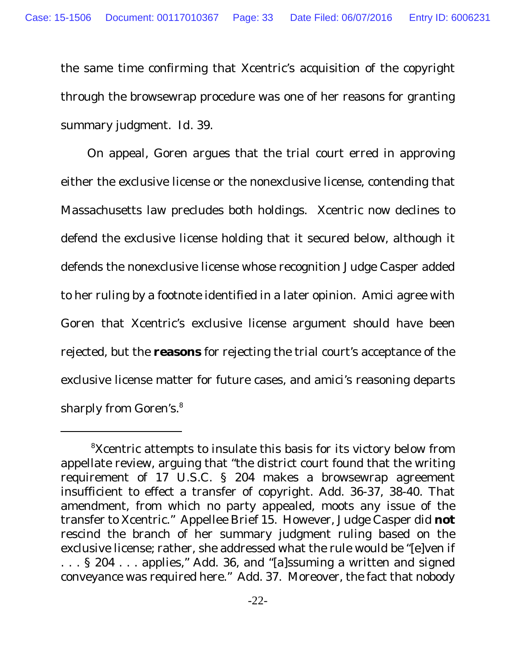the same time confirming that Xcentric's acquisition of the copyright through the browsewrap procedure was one of her reasons for granting summary judgment. *Id.* 39.

On appeal, Goren argues that the trial court erred in approving either the exclusive license or the nonexclusive license, contending that Massachusetts law precludes both holdings. Xcentric now declines to defend the exclusive license holding that it secured below, although it defends the nonexclusive license whose recognition Judge Casper added to her ruling by a footnote identified in a later opinion. Amici agree with Goren that Xcentric's exclusive license argument should have been rejected, but the **reasons** for rejecting the trial court's acceptance of the exclusive license matter for future cases, and amici's reasoning departs sharply from Goren's.<sup>8</sup>

<sup>&</sup>lt;sup>8</sup>Xcentric attempts to insulate this basis for its victory below from appellate review, arguing that "the district court found that the writing requirement of 17 U.S.C. § 204 makes a browsewrap agreement insufficient to effect a transfer of copyright. Add. 36-37, 38-40. That amendment, from which no party appealed, moots any issue of the transfer to Xcentric." Appellee Brief 15. However, Judge Casper did **not** rescind the branch of her summary judgment ruling based on the exclusive license; rather, she addressed what the rule would be "[e]ven if ... § 204... applies," Add. 36, and "[a]ssuming a written and signed conveyance was required here." Add. 37. Moreover, the fact that nobody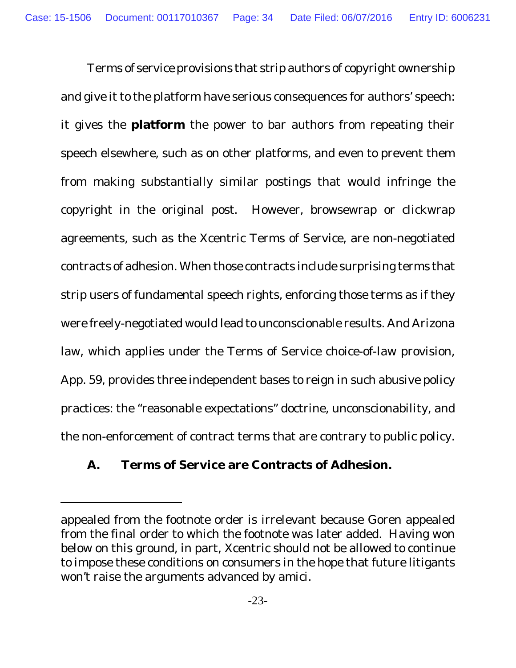Terms of service provisions that strip authors of copyright ownership and give it to the platform have serious consequences for authors' speech: it gives the **platform** the power to bar authors from repeating their speech elsewhere, such as on other platforms, and even to prevent them from making substantially similar postings that would infringe the copyright in the original post. However, browsewrap or clickwrap agreements, such as the Xcentric Terms of Service, are non-negotiated contracts of adhesion. When those contracts include surprising terms that strip users of fundamental speech rights, enforcing those terms as if they were freely-negotiated would lead to unconscionable results. And Arizona law, which applies under the Terms of Service choice-of-law provision, App. 59, provides three independent bases to reign in such abusive policy practices: the "reasonable expectations" doctrine, unconscionability, and the non-enforcement of contract terms that are contrary to public policy.

**A. Terms of Service are Contracts of Adhesion.**

appealed from the footnote order is irrelevant because Goren appealed from the final order to which the footnote was later added. Having won below on this ground, in part, Xcentric should not be allowed to continue to impose these conditions on consumers in the hope that future litigants won't raise the arguments advanced by amici.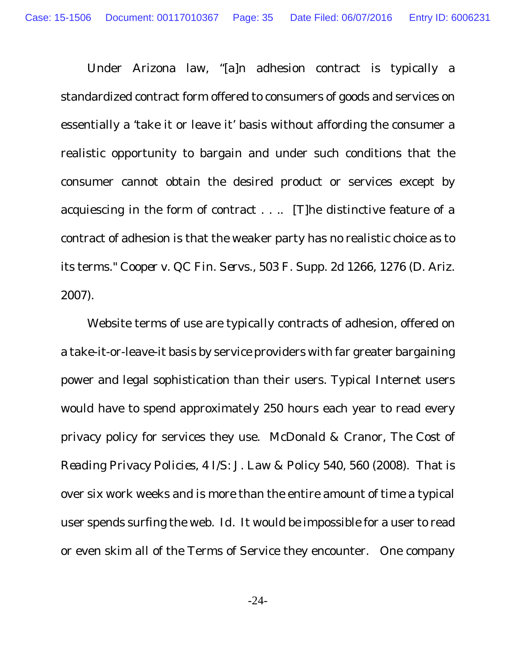Under Arizona law, "[a]n adhesion contract is typically a standardized contract form offered to consumers of goods and services on essentially a 'take it or leave it' basis without affording the consumer a realistic opportunity to bargain and under such conditions that the consumer cannot obtain the desired product or services except by acquiescing in the form of contract . . .. [T]he distinctive feature of a contract of adhesion is that the weaker party has no realistic choice as to its terms." *Cooper v. QC Fin. Servs.*, 503 F. Supp. 2d 1266, 1276 (D. Ariz. 2007).

Website terms of use are typically contracts of adhesion, offered on a take-it-or-leave-it basis by service providers with far greater bargaining power and legal sophistication than their users. Typical Internet users would have to spend approximately 250 hours each year to read every privacy policy for services they use. McDonald & Cranor, *The Cost of Reading Privacy Policies*, 4 I/S: J. Law & Policy 540, 560 (2008). That is over six work weeks and is more than the entire amount of time a typical user spends surfing the web. *Id.* It would be impossible for a user to read or even skim all of the Terms of Service they encounter. One company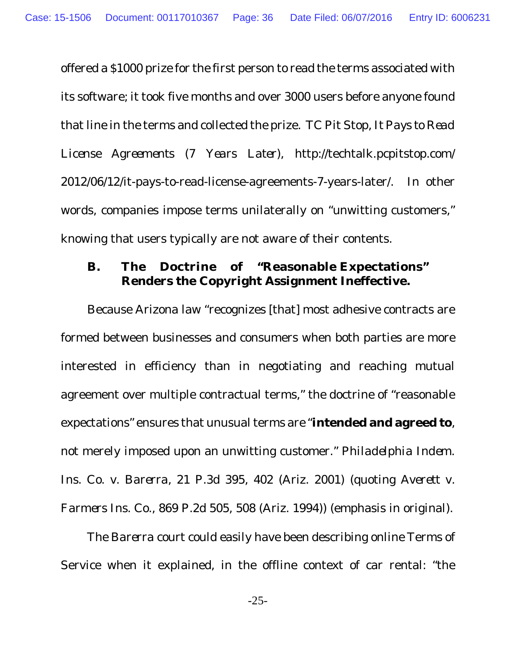offered a \$1000 prize for the first person to read the terms associated with its software; it took five months and over 3000 users before anyone found that line in the terms and collected the prize. TC Pit Stop, *It Pays to Read License Agreements (7 Years Later),* http://techtalk.pcpitstop.com/ 2012/06/12/it-pays-to-read-license-agreements-7-years-later/. In other words, companies impose terms unilaterally on "unwitting customers," knowing that users typically are not aware of their contents.

**B. The Doctrine of "Reasonable Expectations" Renders the Copyright Assignment Ineffective.**

Because Arizona law "recognizes [that] most adhesive contracts are formed between businesses and consumers when both parties are more interested in efficiency than in negotiating and reaching mutual agreement over multiple contractual terms," the doctrine of "reasonable expectations" ensures that unusual terms are "**intended and agreed to**, not merely imposed upon an unwitting customer." *Philadelphia Indem. Ins. Co. v. Barerra*, 21 P.3d 395, 402 (Ariz. 2001) (quoting *Averett v. Farmers Ins. Co.*, 869 P.2d 505, 508 (Ariz. 1994)) (emphasis in original).

The *Barerra* court could easily have been describing online Terms of Service when it explained, in the offline context of car rental: "the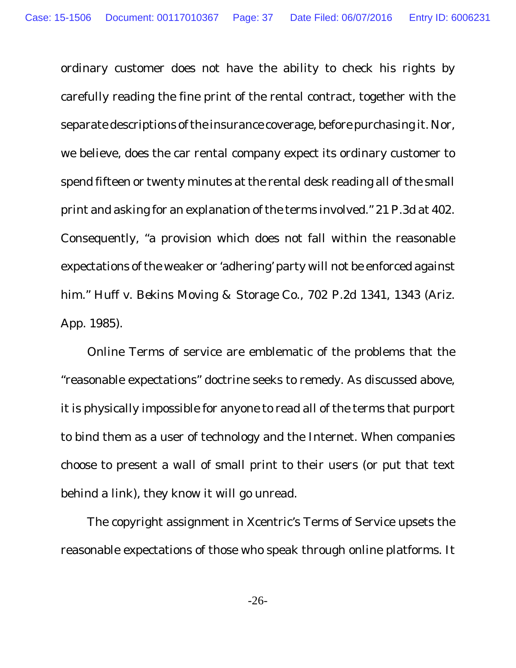ordinary customer does not have the ability to check his rights by carefully reading the fine print of the rental contract, together with the separate descriptions of the insurance coverage, before purchasing it. Nor, we believe, does the car rental company expect its ordinary customer to spend fifteen or twenty minutes at the rental desk reading all of the small print and asking for an explanation of the terms involved." 21 P.3d at 402. Consequently, "a provision which does not fall within the reasonable expectations of the weaker or 'adhering' party will not be enforced against him." *Huff v. Bekins Moving & Storage Co.*, 702 P.2d 1341, 1343 (Ariz. App. 1985).

Online Terms of service are emblematic of the problems that the "reasonable expectations" doctrine seeks to remedy. As discussed above, it is physically impossible for anyone to read all of the terms that purport to bind them as a user of technology and the Internet. When companies choose to present a wall of small print to their users (or put that text behind a link), they know it will go unread.

The copyright assignment in Xcentric's Terms of Service upsets the reasonable expectations of those who speak through online platforms. It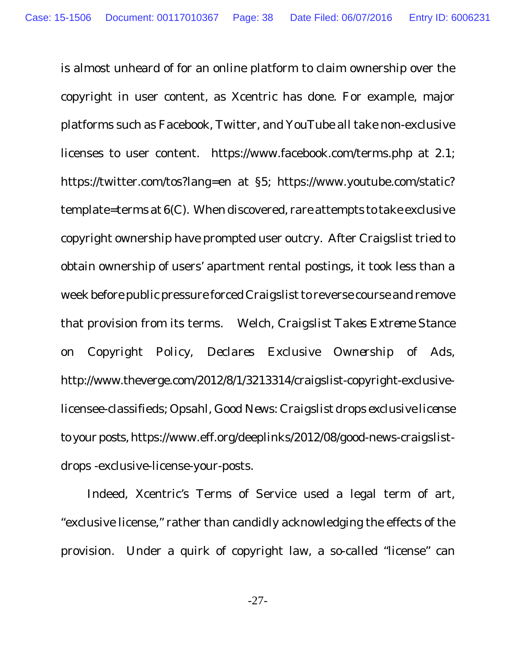is almost unheard of for an online platform to claim ownership over the copyright in user content, as Xcentric has done. For example, major platforms such as Facebook, Twitter, and YouTube all take non-exclusive licenses to user content. https://www.facebook.com/terms.php at 2.1; https://twitter.com/tos?lang=en at §5; https://www.youtube.com/static? template=terms at 6(C). When discovered, rare attempts to take exclusive copyright ownership have prompted user outcry. After Craigslist tried to obtain ownership of users' apartment rental postings, it took less than a week before public pressure forced Craigslist to reverse course and remove that provision from its terms. Welch, *Craigslist Takes Extreme Stance on Copyright Policy, Declares Exclusive Ownership of Ads*, http://www.theverge.com/2012/8/1/3213314/craigslist-copyright-exclusivelicensee-classifieds; Opsahl, *Good News: Craigslist drops exclusive license to your posts*, https://www.eff.org/deeplinks/2012/08/good-news-craigslistdrops -exclusive-license-your-posts.

Indeed, Xcentric's Terms of Service used a legal term of art, "exclusive license," rather than candidly acknowledging the effects of the provision. Under a quirk of copyright law, a so-called "license" can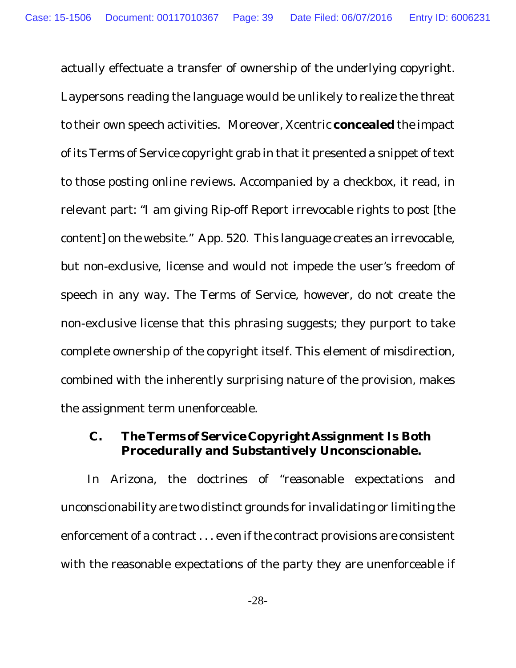actually effectuate a transfer of ownership of the underlying copyright. Laypersons reading the language would be unlikely to realize the threat to their own speech activities. Moreover, Xcentric **concealed** the impact of its Terms of Service copyright grab in that it presented a snippet of text to those posting online reviews. Accompanied by a checkbox, it read, in relevant part: "I am giving Rip-off Report irrevocable rights to post [the content] on the website." App. 520. This language creates an irrevocable, but non-exclusive, license and would not impede the user's freedom of speech in any way. The Terms of Service, however, do not create the non-exclusive license that this phrasing suggests; they purport to take complete ownership of the copyright itself. This element of misdirection, combined with the inherently surprising nature of the provision, makes the assignment term unenforceable.

**C. The Terms of Service Copyright Assignment Is Both Procedurally and Substantively Unconscionable.**

In Arizona, the doctrines of "reasonable expectations and unconscionability are two distinct grounds for invalidating or limiting the enforcement of a contract . . . even if the contract provisions are consistent with the reasonable expectations of the party they are unenforceable if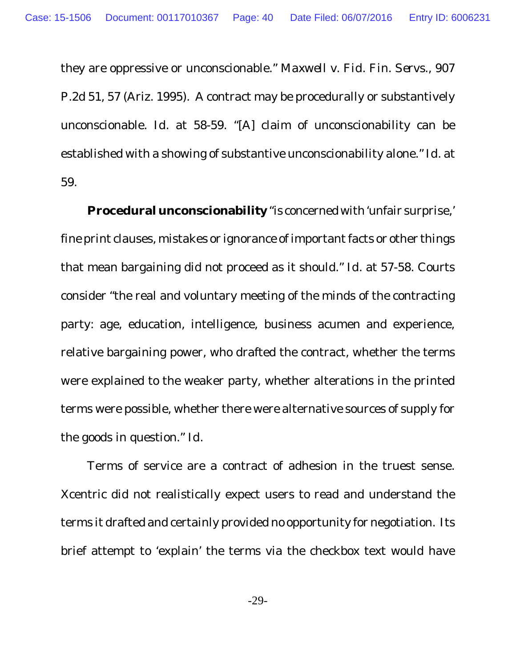they are oppressive or unconscionable." *Maxwell v. Fid. Fin. Servs.*, 907 P.2d 51, 57 (Ariz. 1995). A contract may be procedurally or substantively unconscionable. *Id.* at 58-59. "[A] claim of unconscionability can be established with a showing of substantive unconscionability alone." *Id.* at 59.

**Procedural unconscionability** "is concernedwith'unfair surprise,' fine print clauses, mistakes or ignorance of important facts or other things that mean bargaining did not proceed as it should." *Id.* at 57-58. Courts consider "the real and voluntary meeting of the minds of the contracting party: age, education, intelligence, business acumen and experience, relative bargaining power, who drafted the contract, whether the terms were explained to the weaker party, whether alterations in the printed terms were possible, whether there were alternative sources of supply for the goods in question." *Id.*

Terms of service are a contract of adhesion in the truest sense. Xcentric did not realistically expect users to read and understand the terms it drafted and certainly provided no opportunity for negotiation. Its brief attempt to 'explain' the terms via the checkbox text would have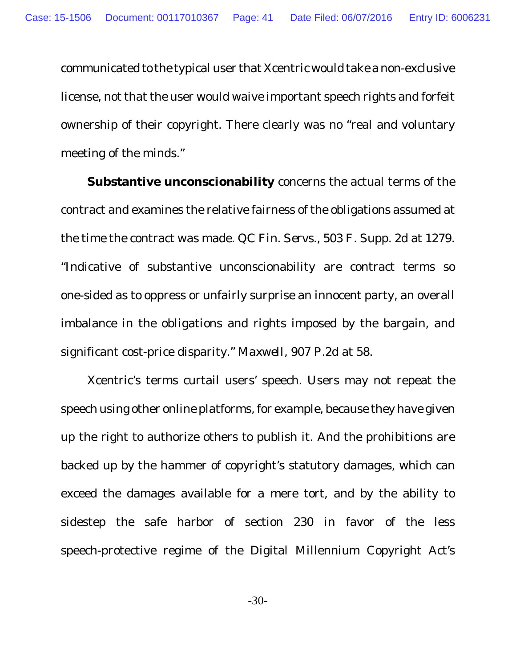communicated to the typical user that Xcentric would take a non-exclusive license, not that the user would waive important speech rights and forfeit ownership of their copyright. There clearly was no "real and voluntary meeting of the minds."

**Substantive unconscionability** concerns the actual terms of the contract and examines the relative fairness of the obligations assumed at the time the contract was made. *QC Fin. Servs.*, 503 F. Supp. 2d at 1279. "Indicative of substantive unconscionability are contract terms so one-sided as to oppress or unfairly surprise an innocent party, an overall imbalance in the obligations and rights imposed by the bargain, and significant cost-price disparity." *Maxwell*, 907 P.2d at 58.

Xcentric's terms curtail users' speech. Users may not repeat the speech using other online platforms, for example, because they have given up the right to authorize others to publish it. And the prohibitions are backed up by the hammer of copyright's statutory damages, which can exceed the damages available for a mere tort, and by the ability to sidestep the safe harbor of section 230 in favor of the less speech-protective regime of the Digital Millennium Copyright Act's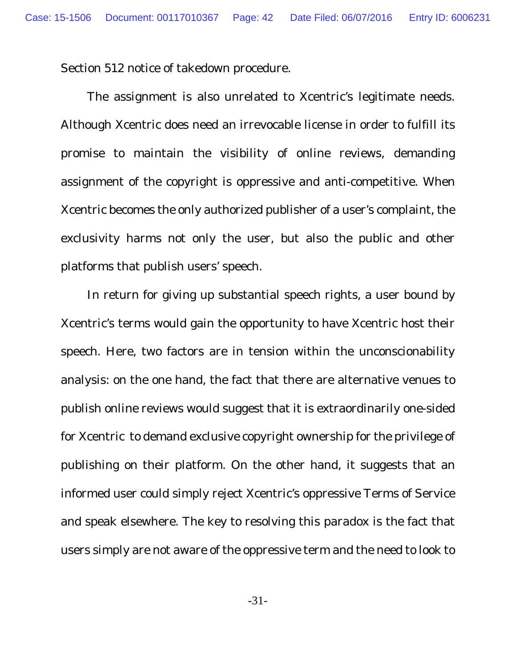Section 512 notice of takedown procedure.

The assignment is also unrelated to Xcentric's legitimate needs. Although Xcentric does need an irrevocable license in order to fulfill its promise to maintain the visibility of online reviews, demanding assignment of the copyright is oppressive and anti-competitive. When Xcentric becomes the only authorized publisher of a user's complaint, the exclusivity harms not only the user, but also the public and other platforms that publish users' speech.

In return for giving up substantial speech rights, a user bound by Xcentric's terms would gain the opportunity to have Xcentric host their speech. Here, two factors are in tension within the unconscionability analysis: on the one hand, the fact that there are alternative venues to publish online reviews would suggest that it is extraordinarily one-sided for Xcentric to demand exclusive copyright ownership for the privilege of publishing on their platform. On the other hand, it suggests that an informed user could simply reject Xcentric's oppressive Terms of Service and speak elsewhere. The key to resolving this paradox is the fact that users simply are not aware of the oppressive term and the need to look to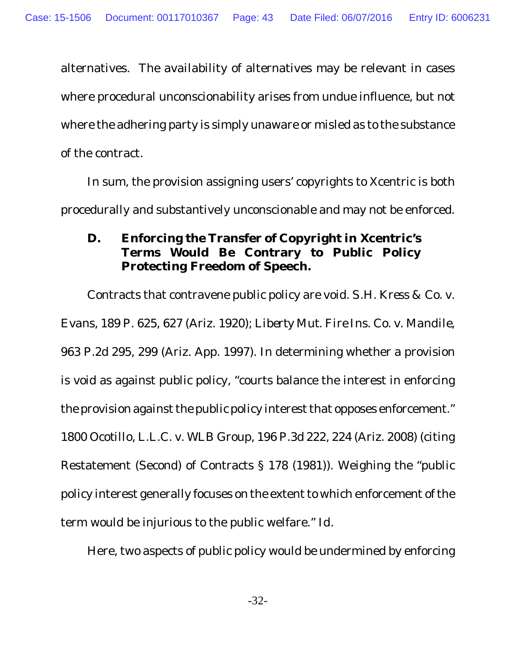alternatives. The availability of alternatives may be relevant in cases where procedural unconscionability arises from undue influence, but not where the adhering party is simply unaware or misled as to the substance of the contract.

In sum, the provision assigning users' copyrights to Xcentric is both procedurally and substantively unconscionable and may not be enforced.

**D. Enforcing the Transfer of Copyright in Xcentric's Terms Would Be Contrary to Public Policy Protecting Freedom of Speech.**

Contracts that contravene public policy are void. *S.H. Kress & Co. v. Evans*, 189 P. 625, 627 (Ariz. 1920); *Liberty Mut. Fire Ins. Co. v. Mandile*, 963 P.2d 295, 299 (Ariz. App. 1997). In determining whether a provision is void as against public policy, "courts balance the interest in enforcing the provision against the public policy interest that opposes enforcement." *1800 Ocotillo, L.L.C. v. WLB Group,* 196 P.3d 222, 224 (Ariz. 2008) (citing Restatement (Second) of Contracts § 178 (1981)). Weighing the "public policy interest generally focuses on the extent to which enforcement of the term would be injurious to the public welfare." *Id.*

Here, two aspects of public policy would be undermined by enforcing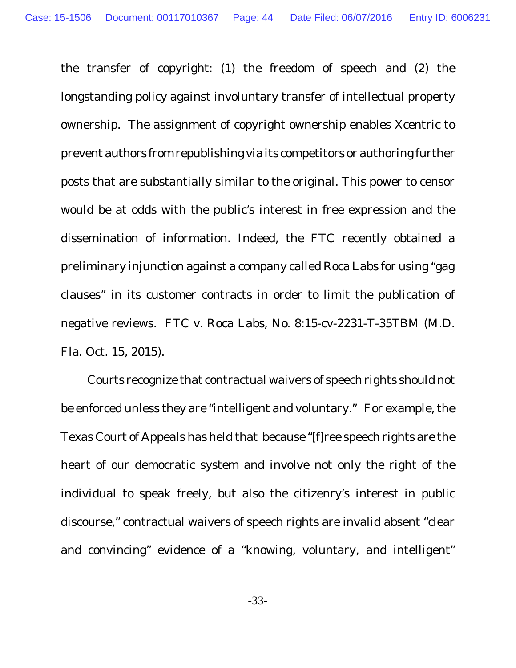the transfer of copyright: (1) the freedom of speech and (2) the longstanding policy against involuntary transfer of intellectual property ownership. The assignment of copyright ownership enables Xcentric to prevent authors from republishing via its competitors or authoring further posts that are substantially similar to the original. This power to censor would be at odds with the public's interest in free expression and the dissemination of information. Indeed, the FTC recently obtained a preliminary injunction against a company called Roca Labs for using "gag clauses" in its customer contracts in order to limit the publication of negative reviews. *FTC v. Roca Labs*, No. 8:15-cv-2231-T-35TBM (M.D. Fla. Oct. 15, 2015).

Courts recognize that contractual waivers of speech rights should not be enforced unless they are "intelligent and voluntary." For example, the Texas Court of Appeals has held that because "[f]ree speech rights are the heart of our democratic system and involve not only the right of the individual to speak freely, but also the citizenry's interest in public discourse," contractual waivers of speech rights are invalid absent "clear and convincing" evidence of a "knowing, voluntary, and intelligent"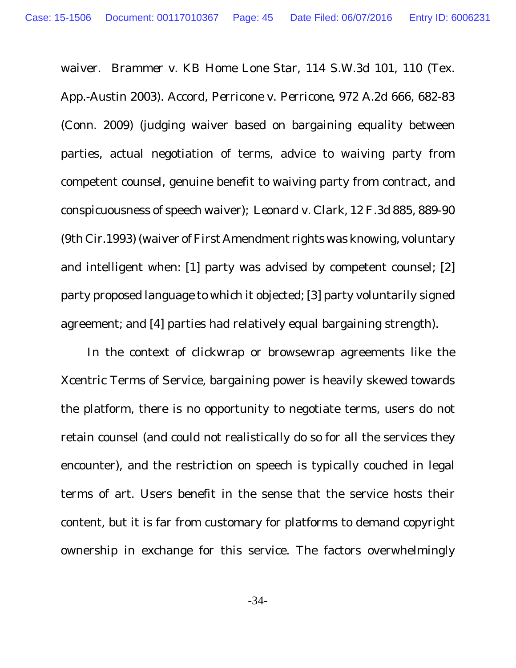waiver. *Brammer v. KB Home Lone Star,* 114 S.W.3d 101, 110 (Tex. App.-Austin 2003). Accord, *Perricone v. Perricone*, 972 A.2d 666, 682-83 (Conn. 2009) (judging waiver based on bargaining equality between parties, actual negotiation of terms, advice to waiving party from competent counsel, genuine benefit to waiving party from contract, and conspicuousness of speech waiver); *Leonard v. Clark*, 12 F.3d 885, 889-90 (9th Cir.1993) (waiver of First Amendment rights was knowing, voluntary and intelligent when: [1] party was advised by competent counsel; [2] party proposed language to which it objected; [3] party voluntarily signed agreement; and [4] parties had relatively equal bargaining strength).

In the context of clickwrap or browsewrap agreements like the Xcentric Terms of Service, bargaining power is heavily skewed towards the platform, there is no opportunity to negotiate terms, users do not retain counsel (and could not realistically do so for all the services they encounter), and the restriction on speech is typically couched in legal terms of art. Users benefit in the sense that the service hosts their content, but it is far from customary for platforms to demand copyright ownership in exchange for this service. The factors overwhelmingly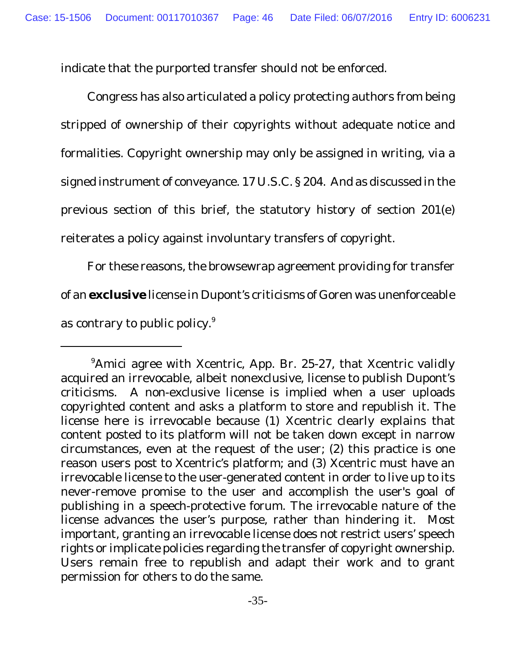indicate that the purported transfer should not be enforced.

Congress has also articulated a policy protecting authors from being stripped of ownership of their copyrights without adequate notice and formalities. Copyright ownership may only be assigned in writing, via a signed instrument of conveyance. 17 U.S.C. § 204. And as discussed in the previous section of this brief, the statutory history of section 201(e) reiterates a policy against involuntary transfers of copyright.

For these reasons, the browsewrap agreement providing for transfer of an **exclusive** license in Dupont's criticisms of Goren was unenforceable as contrary to public policy.<sup>9</sup>

<sup>&</sup>lt;sup>9</sup>Amici agree with Xcentric, App. Br. 25-27, that Xcentric validly acquired an irrevocable, albeit nonexclusive, license to publish Dupont's criticisms. A non-exclusive license is implied when a user uploads copyrighted content and asks a platform to store and republish it. The license here is irrevocable because (1) Xcentric clearly explains that content posted to its platform will not be taken down except in narrow circumstances, even at the request of the user; (2) this practice is one reason users post to Xcentric's platform; and (3) Xcentric must have an irrevocable license to the user-generated content in order to live up to its never-remove promise to the user and accomplish the user's goal of publishing in a speech-protective forum. The irrevocable nature of the license advances the user's purpose, rather than hindering it. Most important, granting an irrevocable license does not restrict users' speech rights or implicate policies regarding the transfer of copyright ownership. Users remain free to republish and adapt their work and to grant permission for others to do the same.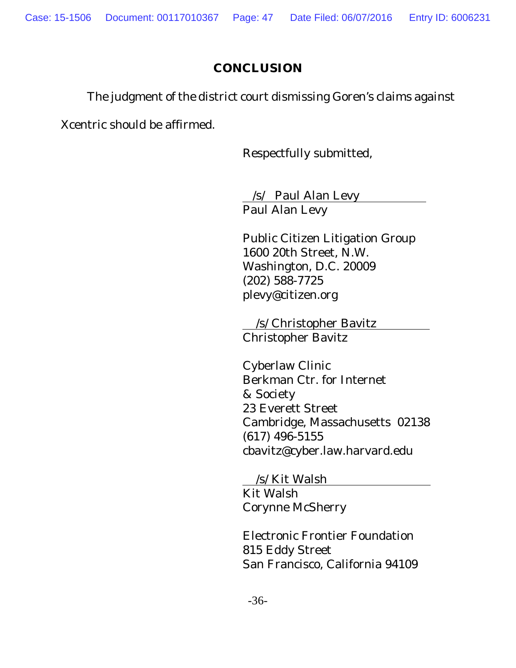## **CONCLUSION**

The judgment of the district court dismissing Goren's claims against

Xcentric should be affirmed.

Respectfully submitted,

/s/ Paul Alan Levy Paul Alan Levy

Public Citizen Litigation Group 1600 20th Street, N.W. Washington, D.C. 20009 (202) 588-7725 plevy@citizen.org

/s/ Christopher Bavitz Christopher Bavitz

Cyberlaw Clinic Berkman Ctr. for Internet & Society 23 Everett Street Cambridge, Massachusetts 02138 (617) 496-5155 cbavitz@cyber.law.harvard.edu

/s/ Kit Walsh Kit Walsh Corynne McSherry

Electronic Frontier Foundation 815 Eddy Street San Francisco, California 94109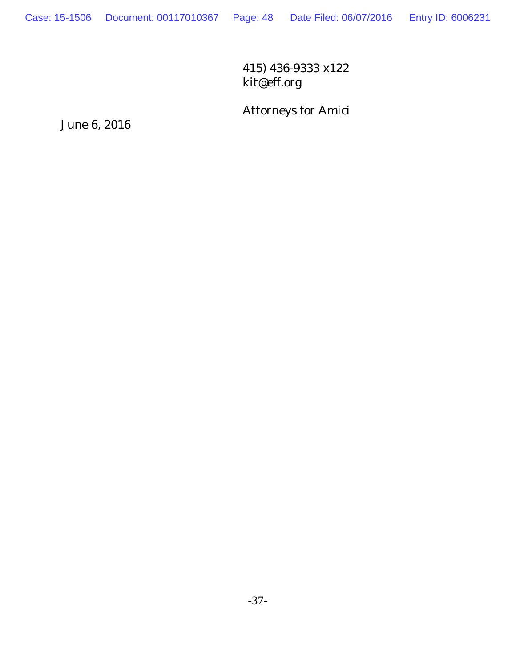415) 436-9333 x122 kit@eff.org

Attorneys for Amici

June 6, 2016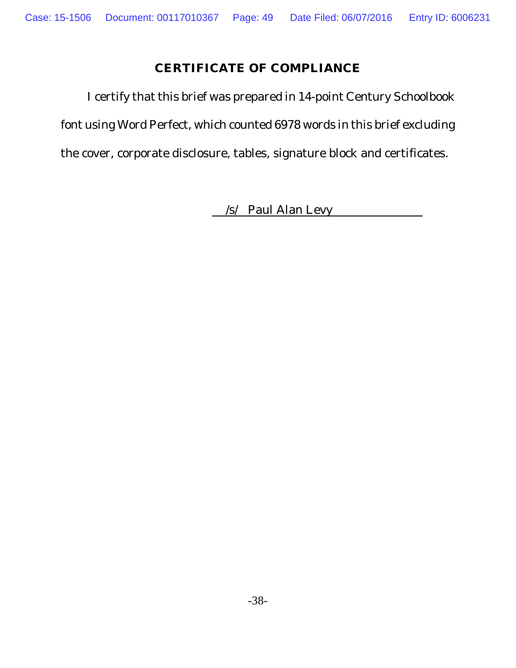### **CERTIFICATE OF COMPLIANCE**

I certify that this brief was prepared in 14-point Century Schoolbook font using Word Perfect, which counted 6978 words in this brief excluding the cover, corporate disclosure, tables, signature block and certificates.

/s/ Paul Alan Levy